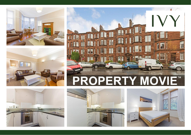









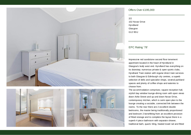



## Offers Over £195,000

2/2 102 Novar Drive Hyndland **Glasgow** G12 9SU

## EPC Rating '78'

Impressive red sandstone second floor tenement apartment located in the heart of Hyndland in Glasgow's leafy west end. Hyndland has everything on its doorstep; numerous private & open sports clubs, Hyndland Train station with regular direct train services to both Glasgow & Edinburgh city centres, a superb selection of delis and specialist shops, several parkland spaces and plenty of coffee shops and eateries to choose from.

The accommodation comprises; square reception hall, stylish bay window lounge-dining room with open views down Airlie Street and up and down Novar Drive, contemporary kitchen, which is semi open plan to the lounge creating a sociable, connected link between the rooms. To the rear there are 2 excellent double bedrooms, the master being traditionally proportioned and bedroom 2 benefitting from an excellent provision of fitted storage and to complete the layout there is a superb 4 piece bathroom with separate shower, traditional bath, quartz tiling, heated towel rail and fitted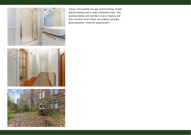

mirrors. The property has gas central heating, double glazed windows and a newly refurbished close. This quintessentially west end flat is sure to impress and with a location hard to beat, this property will enjoy great popularity. Great flat, great location